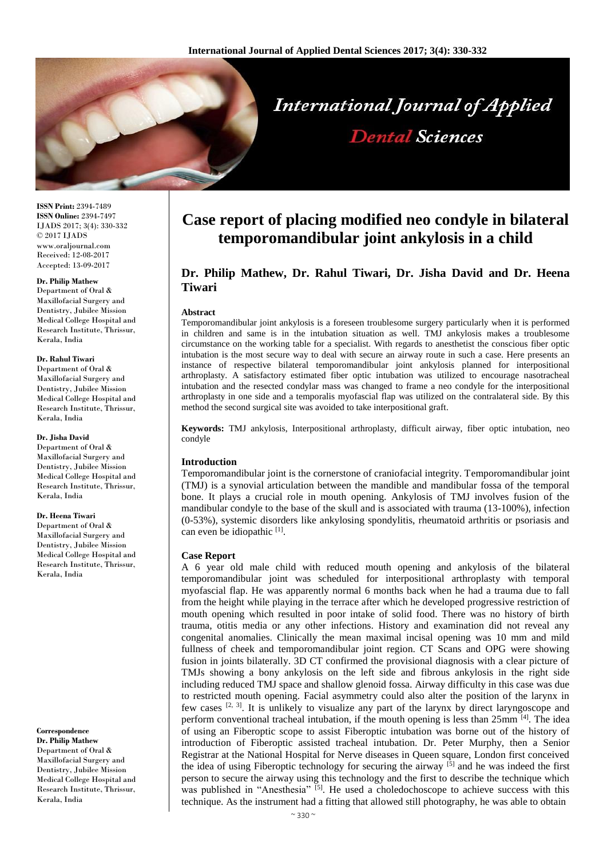

**ISSN Print:** 2394-7489 **ISSN Online:** 2394-7497 IJADS 2017; 3(4): 330-332 © 2017 IJADS www.oraljournal.com Received: 12-08-2017 Accepted: 13-09-2017

### **Dr. Philip Mathew**

Department of Oral & Maxillofacial Surgery and Dentistry, Jubilee Mission Medical College Hospital and Research Institute, Thrissur, Kerala, India

#### **Dr. Rahul Tiwari**

Department of Oral & Maxillofacial Surgery and Dentistry, Jubilee Mission Medical College Hospital and Research Institute, Thrissur, Kerala, India

#### **Dr. Jisha David**

Department of Oral & Maxillofacial Surgery and Dentistry, Jubilee Mission Medical College Hospital and Research Institute, Thrissur, Kerala, India

## **Dr. Heena Tiwari**

Department of Oral & Maxillofacial Surgery and Dentistry, Jubilee Mission Medical College Hospital and Research Institute, Thrissur, Kerala, India

# **Correspondence**

**Dr. Philip Mathew**  Department of Oral & Maxillofacial Surgery and Dentistry, Jubilee Mission Medical College Hospital and Research Institute, Thrissur, Kerala, India

# **Case report of placing modified neo condyle in bilateral temporomandibular joint ankylosis in a child**

**Dental Sciences** 

# **Dr. Philip Mathew, Dr. Rahul Tiwari, Dr. Jisha David and Dr. Heena Tiwari**

### **Abstract**

Temporomandibular joint ankylosis is a foreseen troublesome surgery particularly when it is performed in children and same is in the intubation situation as well. TMJ ankylosis makes a troublesome circumstance on the working table for a specialist. With regards to anesthetist the conscious fiber optic intubation is the most secure way to deal with secure an airway route in such a case. Here presents an instance of respective bilateral temporomandibular joint ankylosis planned for interpositional arthroplasty. A satisfactory estimated fiber optic intubation was utilized to encourage nasotracheal intubation and the resected condylar mass was changed to frame a neo condyle for the interpositional arthroplasty in one side and a temporalis myofascial flap was utilized on the contralateral side. By this method the second surgical site was avoided to take interpositional graft.

**Keywords:** TMJ ankylosis, Interpositional arthroplasty, difficult airway, fiber optic intubation, neo condyle

### **Introduction**

Temporomandibular joint is the cornerstone of craniofacial integrity. Temporomandibular joint (TMJ) is a synovial articulation between the mandible and mandibular fossa of the temporal bone. It plays a crucial role in mouth opening. Ankylosis of TMJ involves fusion of the mandibular condyle to the base of the skull and is associated with trauma (13-100%), infection (0-53%), systemic disorders like ankylosing spondylitis, rheumatoid arthritis or psoriasis and can even be idiopathic [1].

### **Case Report**

A 6 year old male child with reduced mouth opening and ankylosis of the bilateral temporomandibular joint was scheduled for interpositional arthroplasty with temporal myofascial flap. He was apparently normal 6 months back when he had a trauma due to fall from the height while playing in the terrace after which he developed progressive restriction of mouth opening which resulted in poor intake of solid food. There was no history of birth trauma, otitis media or any other infections. History and examination did not reveal any congenital anomalies. Clinically the mean maximal incisal opening was 10 mm and mild fullness of cheek and temporomandibular joint region. CT Scans and OPG were showing fusion in joints bilaterally. 3D CT confirmed the provisional diagnosis with a clear picture of TMJs showing a bony ankylosis on the left side and fibrous ankylosis in the right side including reduced TMJ space and shallow glenoid fossa. Airway difficulty in this case was due to restricted mouth opening. Facial asymmetry could also alter the position of the larynx in few cases  $[2, 3]$ . It is unlikely to visualize any part of the larynx by direct laryngoscope and perform conventional tracheal intubation, if the mouth opening is less than 25mm <sup>[4]</sup>. The idea of using an Fiberoptic scope to assist Fiberoptic intubation was borne out of the history of introduction of Fiberoptic assisted tracheal intubation. Dr. Peter Murphy, then a Senior Registrar at the National Hospital for Nerve diseases in Queen square, London first conceived the idea of using Fiberoptic technology for securing the airway [5] and he was indeed the first person to secure the airway using this technology and the first to describe the technique which was published in "Anesthesia" <sup>[5]</sup>. He used a choledochoscope to achieve success with this technique. As the instrument had a fitting that allowed still photography, he was able to obtain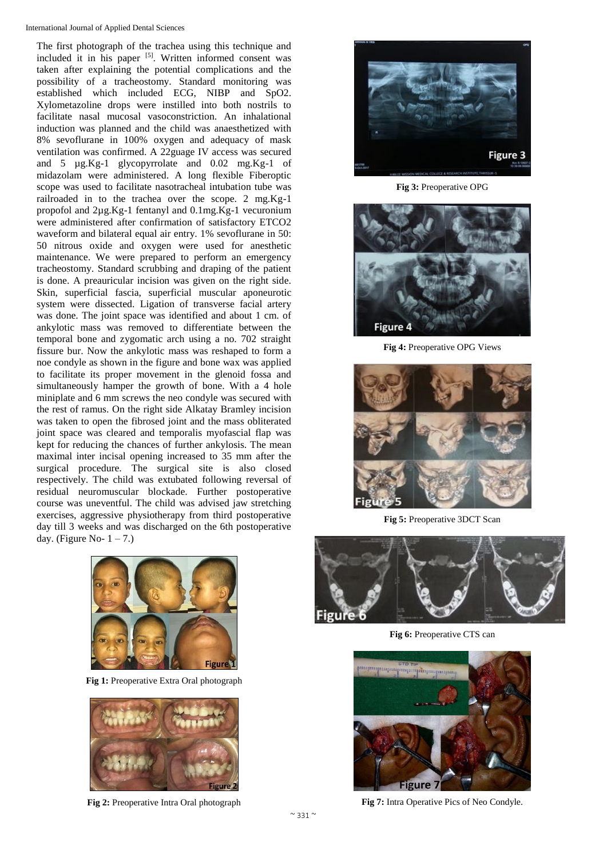The first photograph of the trachea using this technique and included it in his paper [5]. Written informed consent was taken after explaining the potential complications and the possibility of a tracheostomy. Standard monitoring was established which included ECG, NIBP and SpO2. Xylometazoline drops were instilled into both nostrils to facilitate nasal mucosal vasoconstriction. An inhalational induction was planned and the child was anaesthetized with 8% sevoflurane in 100% oxygen and adequacy of mask ventilation was confirmed. A 22guage IV access was secured and 5 µg.Kg-1 glycopyrrolate and 0.02 mg.Kg-1 of midazolam were administered. A long flexible Fiberoptic scope was used to facilitate nasotracheal intubation tube was railroaded in to the trachea over the scope. 2 mg.Kg-1 propofol and 2µg.Kg-1 fentanyl and 0.1mg.Kg-1 vecuronium were administered after confirmation of satisfactory ETCO2 waveform and bilateral equal air entry. 1% sevoflurane in 50: 50 nitrous oxide and oxygen were used for anesthetic maintenance. We were prepared to perform an emergency tracheostomy. Standard scrubbing and draping of the patient is done. A preauricular incision was given on the right side. Skin, superficial fascia, superficial muscular aponeurotic system were dissected. Ligation of transverse facial artery was done. The joint space was identified and about 1 cm. of ankylotic mass was removed to differentiate between the temporal bone and zygomatic arch using a no. 702 straight fissure bur. Now the ankylotic mass was reshaped to form a noe condyle as shown in the figure and bone wax was applied to facilitate its proper movement in the glenoid fossa and simultaneously hamper the growth of bone. With a 4 hole miniplate and 6 mm screws the neo condyle was secured with the rest of ramus. On the right side Alkatay Bramley incision was taken to open the fibrosed joint and the mass obliterated joint space was cleared and temporalis myofascial flap was kept for reducing the chances of further ankylosis. The mean maximal inter incisal opening increased to 35 mm after the surgical procedure. The surgical site is also closed respectively. The child was extubated following reversal of residual neuromuscular blockade. Further postoperative course was uneventful. The child was advised jaw stretching exercises, aggressive physiotherapy from third postoperative day till 3 weeks and was discharged on the 6th postoperative day. (Figure No-  $1 - 7$ .)



**Fig 1:** Preoperative Extra Oral photograph



**Fig 2:** Preoperative Intra Oral photograph



**Fig 3:** Preoperative OPG



**Fig 4:** Preoperative OPG Views



**Fig 5:** Preoperative 3DCT Scan



**Fig 6:** Preoperative CTS can



**Fig 7:** Intra Operative Pics of Neo Condyle.